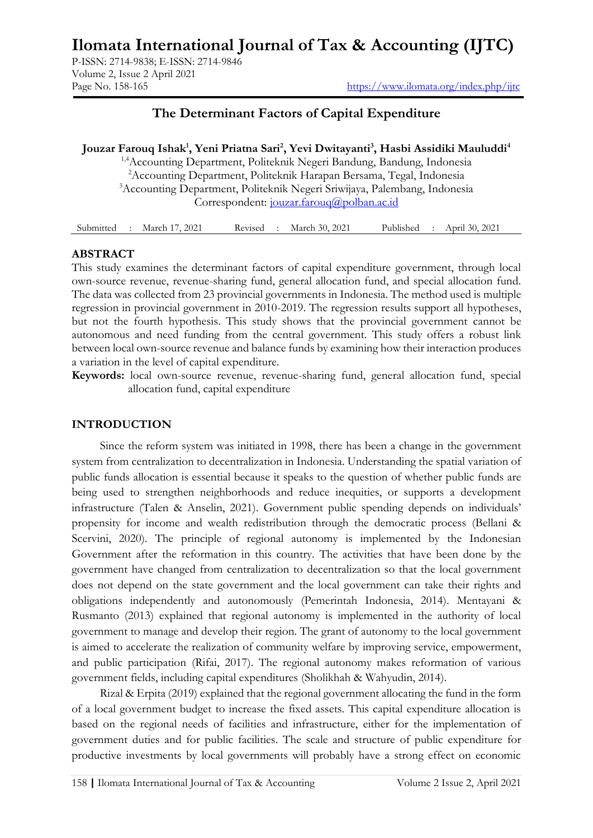# **Ilomata International Journal of Tax & Accounting (IJTC)**

P-ISSN: 2714-9838; E-ISSN: 2714-9846 Volume 2, Issue 2 April 2021

## **The Determinant Factors of Capital Expenditure**

**Jouzar Farouq Ishak<sup>1</sup> , Yeni Priatna Sari<sup>2</sup> , Yevi Dwitayanti<sup>3</sup> , Hasbi Assidiki Mauluddi<sup>4</sup>**

1,4Accounting Department, Politeknik Negeri Bandung, Bandung, Indonesia <sup>2</sup>Accounting Department, Politeknik Harapan Bersama, Tegal, Indonesia <sup>3</sup>Accounting Department, Politeknik Negeri Sriwijaya, Palembang, Indonesia Correspondent: [jouzar.farouq@polban.ac.id](mailto:jouzar.farouq@polban.ac.id)

| Submitted | March 17, 2021 | Revised | March 30, 2021 | Published | April 30, 2021 |
|-----------|----------------|---------|----------------|-----------|----------------|
|-----------|----------------|---------|----------------|-----------|----------------|

#### **ABSTRACT**

This study examines the determinant factors of capital expenditure government, through local own-source revenue, revenue-sharing fund, general allocation fund, and special allocation fund. The data was collected from 23 provincial governments in Indonesia. The method used is multiple regression in provincial government in 2010-2019. The regression results support all hypotheses, but not the fourth hypothesis. This study shows that the provincial government cannot be autonomous and need funding from the central government. This study offers a robust link between local own-source revenue and balance funds by examining how their interaction produces a variation in the level of capital expenditure.

**Keywords:** local own-source revenue, revenue-sharing fund, general allocation fund, special allocation fund, capital expenditure

#### **INTRODUCTION**

Since the reform system was initiated in 1998, there has been a change in the government system from centralization to decentralization in Indonesia. Understanding the spatial variation of public funds allocation is essential because it speaks to the question of whether public funds are being used to strengthen neighborhoods and reduce inequities, or supports a development infrastructure (Talen & Anselin, 2021). Government public spending depends on individuals' propensity for income and wealth redistribution through the democratic process (Bellani & Scervini, 2020). The principle of regional autonomy is implemented by the Indonesian Government after the reformation in this country. The activities that have been done by the government have changed from centralization to decentralization so that the local government does not depend on the state government and the local government can take their rights and obligations independently and autonomously (Pemerintah Indonesia, 2014). Mentayani & Rusmanto (2013) explained that regional autonomy is implemented in the authority of local government to manage and develop their region. The grant of autonomy to the local government is aimed to accelerate the realization of community welfare by improving service, empowerment, and public participation (Rifai, 2017). The regional autonomy makes reformation of various government fields, including capital expenditures (Sholikhah & Wahyudin, 2014).

Rizal & Erpita (2019) explained that the regional government allocating the fund in the form of a local government budget to increase the fixed assets. This capital expenditure allocation is based on the regional needs of facilities and infrastructure, either for the implementation of government duties and for public facilities. The scale and structure of public expenditure for productive investments by local governments will probably have a strong effect on economic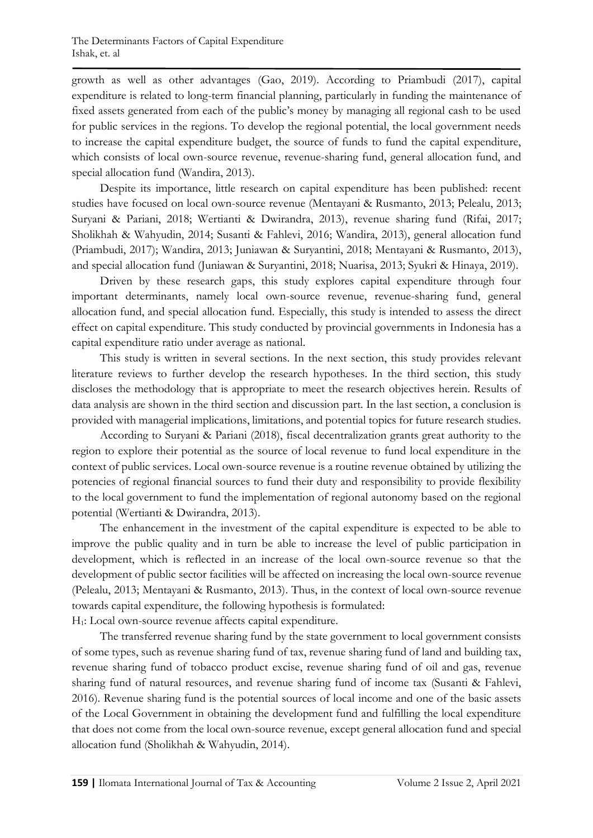growth as well as other advantages (Gao, 2019). According to Priambudi (2017), capital expenditure is related to long-term financial planning, particularly in funding the maintenance of fixed assets generated from each of the public's money by managing all regional cash to be used for public services in the regions. To develop the regional potential, the local government needs to increase the capital expenditure budget, the source of funds to fund the capital expenditure, which consists of local own-source revenue, revenue-sharing fund, general allocation fund, and special allocation fund (Wandira, 2013).

Despite its importance, little research on capital expenditure has been published: recent studies have focused on local own-source revenue (Mentayani & Rusmanto, 2013; Pelealu, 2013; Suryani & Pariani, 2018; Wertianti & Dwirandra, 2013), revenue sharing fund (Rifai, 2017; Sholikhah & Wahyudin, 2014; Susanti & Fahlevi, 2016; Wandira, 2013), general allocation fund (Priambudi, 2017); Wandira, 2013; Juniawan & Suryantini, 2018; Mentayani & Rusmanto, 2013), and special allocation fund (Juniawan & Suryantini, 2018; Nuarisa, 2013; Syukri & Hinaya, 2019).

Driven by these research gaps, this study explores capital expenditure through four important determinants, namely local own-source revenue, revenue-sharing fund, general allocation fund, and special allocation fund. Especially, this study is intended to assess the direct effect on capital expenditure. This study conducted by provincial governments in Indonesia has a capital expenditure ratio under average as national.

This study is written in several sections. In the next section, this study provides relevant literature reviews to further develop the research hypotheses. In the third section, this study discloses the methodology that is appropriate to meet the research objectives herein. Results of data analysis are shown in the third section and discussion part. In the last section, a conclusion is provided with managerial implications, limitations, and potential topics for future research studies.

According to Suryani & Pariani (2018), fiscal decentralization grants great authority to the region to explore their potential as the source of local revenue to fund local expenditure in the context of public services. Local own-source revenue is a routine revenue obtained by utilizing the potencies of regional financial sources to fund their duty and responsibility to provide flexibility to the local government to fund the implementation of regional autonomy based on the regional potential (Wertianti & Dwirandra, 2013).

The enhancement in the investment of the capital expenditure is expected to be able to improve the public quality and in turn be able to increase the level of public participation in development, which is reflected in an increase of the local own-source revenue so that the development of public sector facilities will be affected on increasing the local own-source revenue (Pelealu, 2013; Mentayani & Rusmanto, 2013). Thus, in the context of local own-source revenue towards capital expenditure, the following hypothesis is formulated:

H1: Local own-source revenue affects capital expenditure.

The transferred revenue sharing fund by the state government to local government consists of some types, such as revenue sharing fund of tax, revenue sharing fund of land and building tax, revenue sharing fund of tobacco product excise, revenue sharing fund of oil and gas, revenue sharing fund of natural resources, and revenue sharing fund of income tax (Susanti & Fahlevi, 2016). Revenue sharing fund is the potential sources of local income and one of the basic assets of the Local Government in obtaining the development fund and fulfilling the local expenditure that does not come from the local own-source revenue, except general allocation fund and special allocation fund (Sholikhah & Wahyudin, 2014).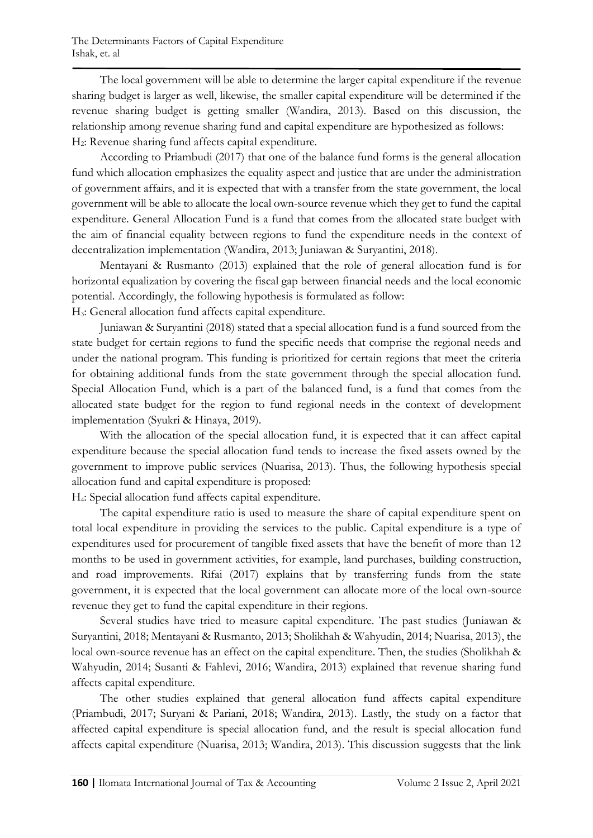The local government will be able to determine the larger capital expenditure if the revenue sharing budget is larger as well, likewise, the smaller capital expenditure will be determined if the revenue sharing budget is getting smaller (Wandira, 2013). Based on this discussion, the relationship among revenue sharing fund and capital expenditure are hypothesized as follows: H2: Revenue sharing fund affects capital expenditure.

According to Priambudi (2017) that one of the balance fund forms is the general allocation fund which allocation emphasizes the equality aspect and justice that are under the administration of government affairs, and it is expected that with a transfer from the state government, the local government will be able to allocate the local own-source revenue which they get to fund the capital expenditure. General Allocation Fund is a fund that comes from the allocated state budget with the aim of financial equality between regions to fund the expenditure needs in the context of decentralization implementation (Wandira, 2013; Juniawan & Suryantini, 2018).

Mentayani & Rusmanto (2013) explained that the role of general allocation fund is for horizontal equalization by covering the fiscal gap between financial needs and the local economic potential. Accordingly, the following hypothesis is formulated as follow:

H3: General allocation fund affects capital expenditure.

Juniawan & Suryantini (2018) stated that a special allocation fund is a fund sourced from the state budget for certain regions to fund the specific needs that comprise the regional needs and under the national program. This funding is prioritized for certain regions that meet the criteria for obtaining additional funds from the state government through the special allocation fund. Special Allocation Fund, which is a part of the balanced fund, is a fund that comes from the allocated state budget for the region to fund regional needs in the context of development implementation (Syukri & Hinaya, 2019).

With the allocation of the special allocation fund, it is expected that it can affect capital expenditure because the special allocation fund tends to increase the fixed assets owned by the government to improve public services (Nuarisa, 2013). Thus, the following hypothesis special allocation fund and capital expenditure is proposed:

H4: Special allocation fund affects capital expenditure.

The capital expenditure ratio is used to measure the share of capital expenditure spent on total local expenditure in providing the services to the public. Capital expenditure is a type of expenditures used for procurement of tangible fixed assets that have the benefit of more than 12 months to be used in government activities, for example, land purchases, building construction, and road improvements. Rifai (2017) explains that by transferring funds from the state government, it is expected that the local government can allocate more of the local own-source revenue they get to fund the capital expenditure in their regions.

Several studies have tried to measure capital expenditure. The past studies (Juniawan & Suryantini, 2018; Mentayani & Rusmanto, 2013; Sholikhah & Wahyudin, 2014; Nuarisa, 2013), the local own-source revenue has an effect on the capital expenditure. Then, the studies (Sholikhah & Wahyudin, 2014; Susanti & Fahlevi, 2016; Wandira, 2013) explained that revenue sharing fund affects capital expenditure.

The other studies explained that general allocation fund affects capital expenditure (Priambudi, 2017; Suryani & Pariani, 2018; Wandira, 2013). Lastly, the study on a factor that affected capital expenditure is special allocation fund, and the result is special allocation fund affects capital expenditure (Nuarisa, 2013; Wandira, 2013). This discussion suggests that the link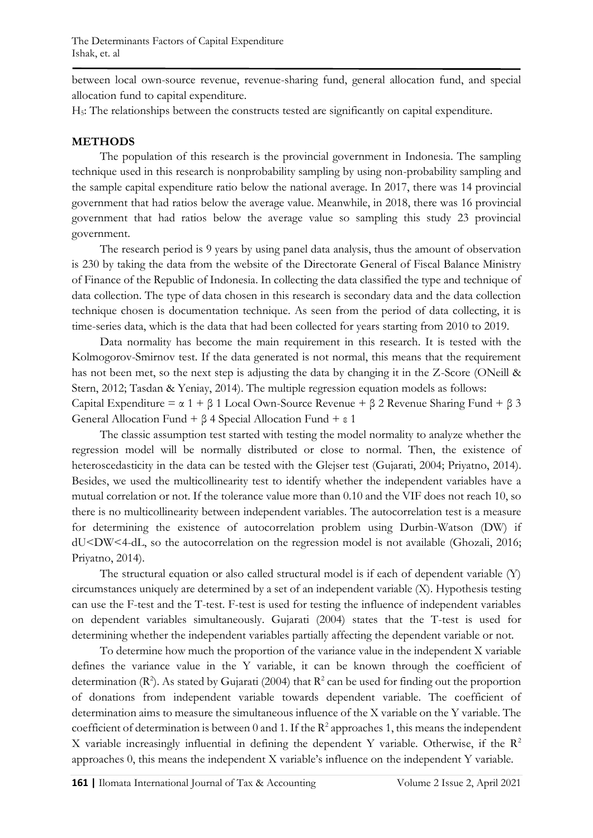between local own-source revenue, revenue-sharing fund, general allocation fund, and special allocation fund to capital expenditure.

H5: The relationships between the constructs tested are significantly on capital expenditure.

## **METHODS**

The population of this research is the provincial government in Indonesia. The sampling technique used in this research is nonprobability sampling by using non-probability sampling and the sample capital expenditure ratio below the national average. In 2017, there was 14 provincial government that had ratios below the average value. Meanwhile, in 2018, there was 16 provincial government that had ratios below the average value so sampling this study 23 provincial government.

The research period is 9 years by using panel data analysis, thus the amount of observation is 230 by taking the data from the website of the Directorate General of Fiscal Balance Ministry of Finance of the Republic of Indonesia. In collecting the data classified the type and technique of data collection. The type of data chosen in this research is secondary data and the data collection technique chosen is documentation technique. As seen from the period of data collecting, it is time-series data, which is the data that had been collected for years starting from 2010 to 2019.

Data normality has become the main requirement in this research. It is tested with the Kolmogorov-Smirnov test. If the data generated is not normal, this means that the requirement has not been met, so the next step is adjusting the data by changing it in the Z-Score (ONeill & Stern, 2012; Tasdan & Yeniay, 2014). The multiple regression equation models as follows: Capital Expenditure =  $\alpha$  1 +  $\beta$  1 Local Own-Source Revenue +  $\beta$  2 Revenue Sharing Fund +  $\beta$  3

General Allocation Fund + β 4 Special Allocation Fund + ε 1

The classic assumption test started with testing the model normality to analyze whether the regression model will be normally distributed or close to normal. Then, the existence of heteroscedasticity in the data can be tested with the Glejser test (Gujarati, 2004; Priyatno, 2014). Besides, we used the multicollinearity test to identify whether the independent variables have a mutual correlation or not. If the tolerance value more than 0.10 and the VIF does not reach 10, so there is no multicollinearity between independent variables. The autocorrelation test is a measure for determining the existence of autocorrelation problem using Durbin-Watson (DW) if dU<DW<4-dL, so the autocorrelation on the regression model is not available (Ghozali, 2016; Priyatno, 2014).

The structural equation or also called structural model is if each of dependent variable (Y) circumstances uniquely are determined by a set of an independent variable (X). Hypothesis testing can use the F-test and the T-test. F-test is used for testing the influence of independent variables on dependent variables simultaneously. Gujarati (2004) states that the T-test is used for determining whether the independent variables partially affecting the dependent variable or not.

To determine how much the proportion of the variance value in the independent X variable defines the variance value in the Y variable, it can be known through the coefficient of determination ( $\mathbb{R}^2$ ). As stated by Gujarati (2004) that  $\mathbb{R}^2$  can be used for finding out the proportion of donations from independent variable towards dependent variable. The coefficient of determination aims to measure the simultaneous influence of the X variable on the Y variable. The coefficient of determination is between 0 and 1. If the  $R^2$  approaches 1, this means the independent X variable increasingly influential in defining the dependent Y variable. Otherwise, if the  $R^2$ approaches 0, this means the independent X variable's influence on the independent Y variable.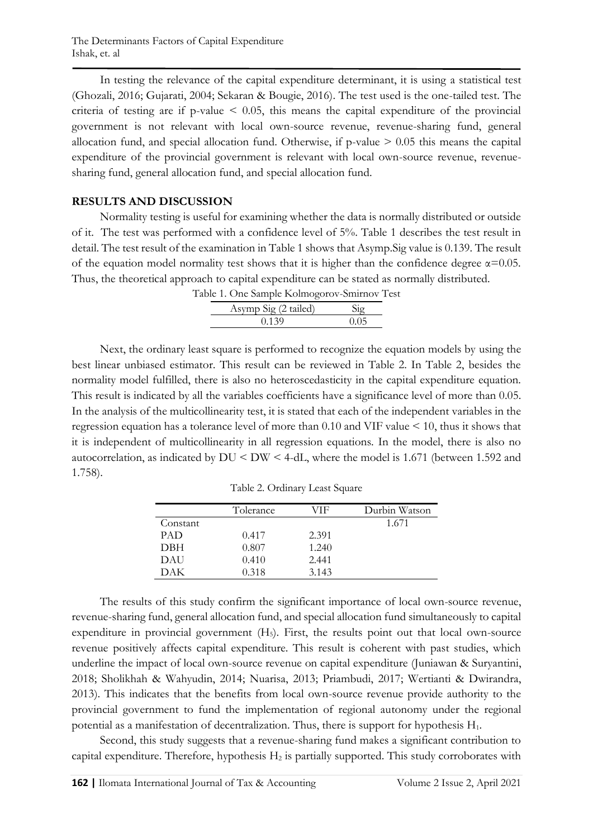In testing the relevance of the capital expenditure determinant, it is using a statistical test (Ghozali, 2016; Gujarati, 2004; Sekaran & Bougie, 2016). The test used is the one-tailed test. The criteria of testing are if p-value  $\leq 0.05$ , this means the capital expenditure of the provincial government is not relevant with local own-source revenue, revenue-sharing fund, general allocation fund, and special allocation fund. Otherwise, if  $p$ -value  $> 0.05$  this means the capital expenditure of the provincial government is relevant with local own-source revenue, revenuesharing fund, general allocation fund, and special allocation fund.

#### **RESULTS AND DISCUSSION**

Normality testing is useful for examining whether the data is normally distributed or outside of it. The test was performed with a confidence level of 5%. Table 1 describes the test result in detail. The test result of the examination in Table 1 shows that Asymp.Sig value is 0.139. The result of the equation model normality test shows that it is higher than the confidence degree  $\alpha$ =0.05. Thus, the theoretical approach to capital expenditure can be stated as normally distributed. Table 1. One Sample Kolmogorov-Smirnov Test

| able 1. One Sample Kolmogorov-Smirnov 16 |          |
|------------------------------------------|----------|
| Asymp Sig (2 tailed)                     | $S_{10}$ |
| 0.139                                    | 0.05     |

Next, the ordinary least square is performed to recognize the equation models by using the best linear unbiased estimator. This result can be reviewed in Table 2. In Table 2, besides the normality model fulfilled, there is also no heteroscedasticity in the capital expenditure equation. This result is indicated by all the variables coefficients have a significance level of more than 0.05. In the analysis of the multicollinearity test, it is stated that each of the independent variables in the regression equation has a tolerance level of more than 0.10 and VIF value < 10, thus it shows that it is independent of multicollinearity in all regression equations. In the model, there is also no autocorrelation, as indicated by DU < DW < 4-dL, where the model is 1.671 (between 1.592 and 1.758).

|            | Tolerance | ЛF    | Durbin Watson |
|------------|-----------|-------|---------------|
| Constant   |           |       | 1.671         |
| <b>PAD</b> | 0.417     | 2.391 |               |
| <b>DBH</b> | 0.807     | 1.240 |               |
| DAU        | 0.410     | 2.441 |               |
| DAK        | 0.318     | 3.143 |               |

Table 2. Ordinary Least Square

The results of this study confirm the significant importance of local own-source revenue, revenue-sharing fund, general allocation fund, and special allocation fund simultaneously to capital expenditure in provincial government (H<sub>5</sub>). First, the results point out that local own-source revenue positively affects capital expenditure. This result is coherent with past studies, which underline the impact of local own-source revenue on capital expenditure (Juniawan & Suryantini, 2018; Sholikhah & Wahyudin, 2014; Nuarisa, 2013; Priambudi, 2017; Wertianti & Dwirandra, 2013). This indicates that the benefits from local own-source revenue provide authority to the provincial government to fund the implementation of regional autonomy under the regional potential as a manifestation of decentralization. Thus, there is support for hypothesis  $H_1$ .

Second, this study suggests that a revenue-sharing fund makes a significant contribution to capital expenditure. Therefore, hypothesis  $H_2$  is partially supported. This study corroborates with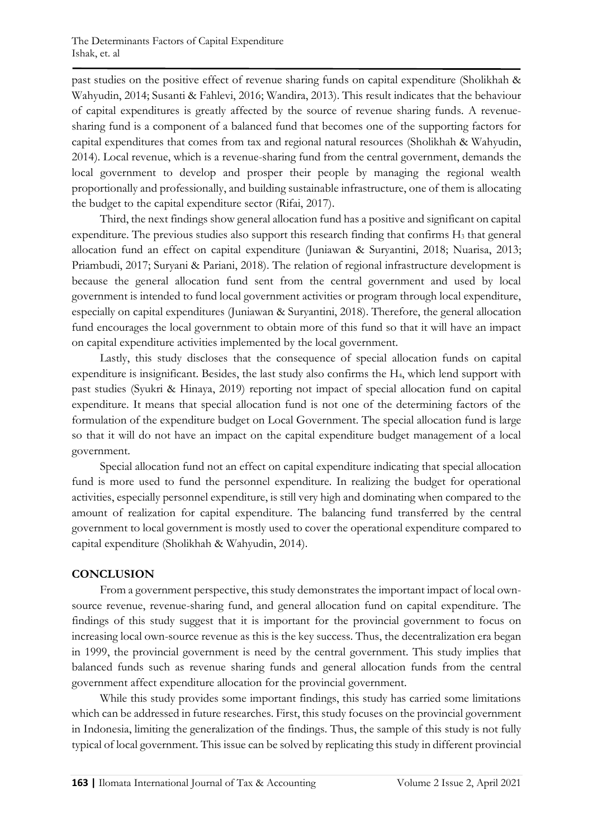past studies on the positive effect of revenue sharing funds on capital expenditure (Sholikhah & Wahyudin, 2014; Susanti & Fahlevi, 2016; Wandira, 2013). This result indicates that the behaviour of capital expenditures is greatly affected by the source of revenue sharing funds. A revenuesharing fund is a component of a balanced fund that becomes one of the supporting factors for capital expenditures that comes from tax and regional natural resources (Sholikhah & Wahyudin, 2014). Local revenue, which is a revenue-sharing fund from the central government, demands the local government to develop and prosper their people by managing the regional wealth proportionally and professionally, and building sustainable infrastructure, one of them is allocating the budget to the capital expenditure sector (Rifai, 2017).

Third, the next findings show general allocation fund has a positive and significant on capital expenditure. The previous studies also support this research finding that confirms  $H_3$  that general allocation fund an effect on capital expenditure (Juniawan & Suryantini, 2018; Nuarisa, 2013; Priambudi, 2017; Suryani & Pariani, 2018). The relation of regional infrastructure development is because the general allocation fund sent from the central government and used by local government is intended to fund local government activities or program through local expenditure, especially on capital expenditures (Juniawan & Suryantini, 2018). Therefore, the general allocation fund encourages the local government to obtain more of this fund so that it will have an impact on capital expenditure activities implemented by the local government.

Lastly, this study discloses that the consequence of special allocation funds on capital expenditure is insignificant. Besides, the last study also confirms the H4, which lend support with past studies (Syukri & Hinaya, 2019) reporting not impact of special allocation fund on capital expenditure. It means that special allocation fund is not one of the determining factors of the formulation of the expenditure budget on Local Government. The special allocation fund is large so that it will do not have an impact on the capital expenditure budget management of a local government.

Special allocation fund not an effect on capital expenditure indicating that special allocation fund is more used to fund the personnel expenditure. In realizing the budget for operational activities, especially personnel expenditure, is still very high and dominating when compared to the amount of realization for capital expenditure. The balancing fund transferred by the central government to local government is mostly used to cover the operational expenditure compared to capital expenditure (Sholikhah & Wahyudin, 2014).

## **CONCLUSION**

From a government perspective, this study demonstrates the important impact of local ownsource revenue, revenue-sharing fund, and general allocation fund on capital expenditure. The findings of this study suggest that it is important for the provincial government to focus on increasing local own-source revenue as this is the key success. Thus, the decentralization era began in 1999, the provincial government is need by the central government. This study implies that balanced funds such as revenue sharing funds and general allocation funds from the central government affect expenditure allocation for the provincial government.

While this study provides some important findings, this study has carried some limitations which can be addressed in future researches. First, this study focuses on the provincial government in Indonesia, limiting the generalization of the findings. Thus, the sample of this study is not fully typical of local government. This issue can be solved by replicating this study in different provincial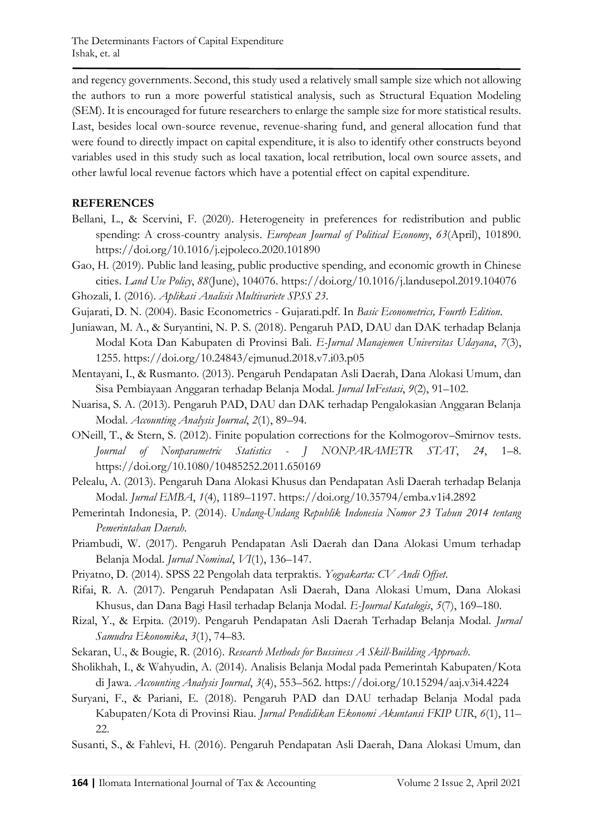and regency governments. Second, this study used a relatively small sample size which not allowing the authors to run a more powerful statistical analysis, such as Structural Equation Modeling (SEM). It is encouraged for future researchers to enlarge the sample size for more statistical results. Last, besides local own-source revenue, revenue-sharing fund, and general allocation fund that were found to directly impact on capital expenditure, it is also to identify other constructs beyond variables used in this study such as local taxation, local retribution, local own source assets, and other lawful local revenue factors which have a potential effect on capital expenditure.

## **REFERENCES**

- Bellani, L., & Scervini, F. (2020). Heterogeneity in preferences for redistribution and public spending: A cross-country analysis. *European Journal of Political Economy*, *63*(April), 101890. https://doi.org/10.1016/j.ejpoleco.2020.101890
- Gao, H. (2019). Public land leasing, public productive spending, and economic growth in Chinese cities. *Land Use Policy*, *88*(June), 104076. https://doi.org/10.1016/j.landusepol.2019.104076
- Ghozali, I. (2016). *Aplikasi Analisis Multivariete SPSS 23*.
- Gujarati, D. N. (2004). Basic Econometrics Gujarati.pdf. In *Basic Econometrics, Fourth Edition*.
- Juniawan, M. A., & Suryantini, N. P. S. (2018). Pengaruh PAD, DAU dan DAK terhadap Belanja Modal Kota Dan Kabupaten di Provinsi Bali. *E-Jurnal Manajemen Universitas Udayana*, *7*(3), 1255. https://doi.org/10.24843/ejmunud.2018.v7.i03.p05
- Mentayani, I., & Rusmanto. (2013). Pengaruh Pendapatan Asli Daerah, Dana Alokasi Umum, dan Sisa Pembiayaan Anggaran terhadap Belanja Modal. *Jurnal InFestasi*, *9*(2), 91–102.
- Nuarisa, S. A. (2013). Pengaruh PAD, DAU dan DAK terhadap Pengalokasian Anggaran Belanja Modal. *Accounting Analysis Journal*, *2*(1), 89–94.
- ONeill, T., & Stern, S. (2012). Finite population corrections for the Kolmogorov–Smirnov tests. *Journal of Nonparametric Statistics - J NONPARAMETR STAT*, *24*, 1–8. https://doi.org/10.1080/10485252.2011.650169
- Pelealu, A. (2013). Pengaruh Dana Alokasi Khusus dan Pendapatan Asli Daerah terhadap Belanja Modal. *Jurnal EMBA*, *1*(4), 1189–1197. https://doi.org/10.35794/emba.v1i4.2892
- Pemerintah Indonesia, P. (2014). *Undang-Undang Republik Indonesia Nomor 23 Tahun 2014 tentang Pemerintahan Daerah*.
- Priambudi, W. (2017). Pengaruh Pendapatan Asli Daerah dan Dana Alokasi Umum terhadap Belanja Modal. *Jurnal Nominal*, *VI*(1), 136–147.
- Priyatno, D. (2014). SPSS 22 Pengolah data terpraktis. *Yogyakarta: CV Andi Offset*.
- Rifai, R. A. (2017). Pengaruh Pendapatan Asli Daerah, Dana Alokasi Umum, Dana Alokasi Khusus, dan Dana Bagi Hasil terhadap Belanja Modal. *E-Journal Katalogis*, *5*(7), 169–180.
- Rizal, Y., & Erpita. (2019). Pengaruh Pendapatan Asli Daerah Terhadap Belanja Modal. *Jurnal Samudra Ekonomika*, *3*(1), 74–83.
- Sekaran, U., & Bougie, R. (2016). *Research Methods for Bussiness A Skill-Building Approach*.
- Sholikhah, I., & Wahyudin, A. (2014). Analisis Belanja Modal pada Pemerintah Kabupaten/Kota di Jawa. *Accounting Analysis Journal*, *3*(4), 553–562. https://doi.org/10.15294/aaj.v3i4.4224
- Suryani, F., & Pariani, E. (2018). Pengaruh PAD dan DAU terhadap Belanja Modal pada Kabupaten/Kota di Provinsi Riau. *Jurnal Pendidikan Ekonomi Akuntansi FKIP UIR*, *6*(1), 11– 22.
- Susanti, S., & Fahlevi, H. (2016). Pengaruh Pendapatan Asli Daerah, Dana Alokasi Umum, dan